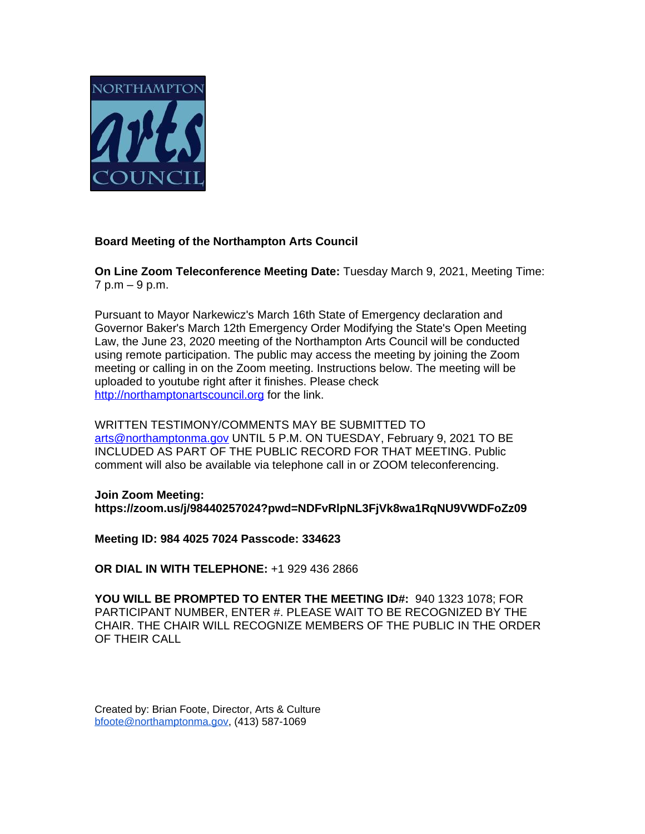

## **Board Meeting of the Northampton Arts Council**

**On Line Zoom Teleconference Meeting Date:** Tuesday March 9, 2021, Meeting Time: 7 p.m – 9 p.m.

Pursuant to Mayor Narkewicz's March 16th State of Emergency declaration and Governor Baker's March 12th Emergency Order Modifying the State's Open Meeting Law, the June 23, 2020 meeting of the Northampton Arts Council will be conducted using remote participation. The public may access the meeting by joining the Zoom meeting or calling in on the Zoom meeting. Instructions below. The meeting will be uploaded to youtube right after it finishes. Please check <http://northamptonartscouncil.org>for the link.

WRITTEN TESTIMONY/COMMENTS MAY BE SUBMITTED TO [arts@northamptonma.gov](mailto:arts@northamptonma.gov%20?subject=Zoom%20Board%20Meeting) UNTIL 5 P.M. ON TUESDAY, February 9, 2021 TO BE INCLUDED AS PART OF THE PUBLIC RECORD FOR THAT MEETING. Public comment will also be available via telephone call in or ZOOM teleconferencing.

**Join Zoom Meeting: https://zoom.us/j/98440257024?pwd=NDFvRlpNL3FjVk8wa1RqNU9VWDFoZz09**

**Meeting ID: 984 4025 7024 Passcode: 334623**

**OR DIAL IN WITH TELEPHONE:** +1 929 436 2866

**YOU WILL BE PROMPTED TO ENTER THE MEETING ID#:** 940 1323 1078; FOR PARTICIPANT NUMBER, ENTER #. PLEASE WAIT TO BE RECOGNIZED BY THE CHAIR. THE CHAIR WILL RECOGNIZE MEMBERS OF THE PUBLIC IN THE ORDER OF THEIR CALL

Created by: Brian Foote, Director, Arts & Culture [bfoote@northamptonma.gov,](mailto:bfoote@northamptonma.gov) (413) 587-1069